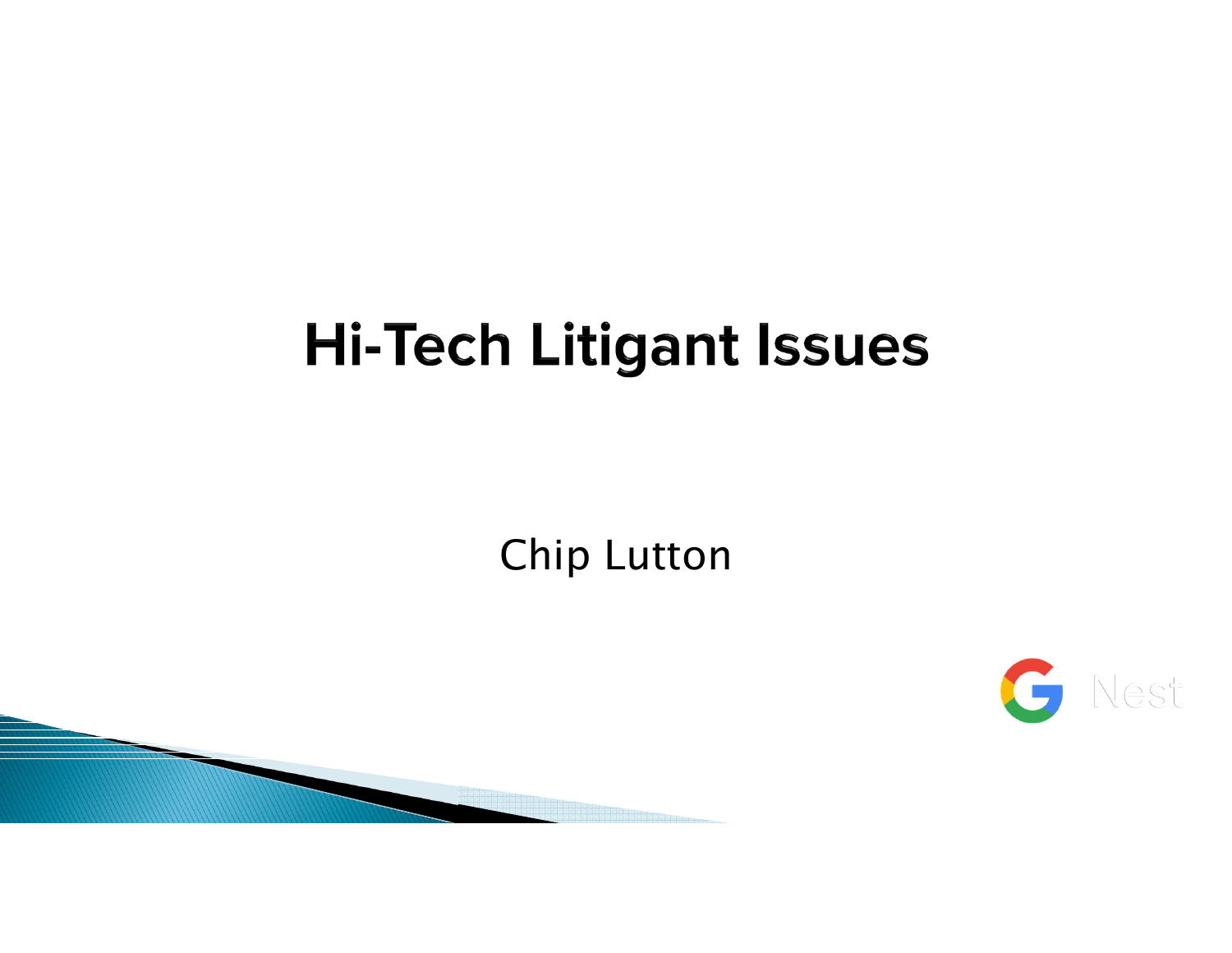## **Hi-Tech Litigant Issues**

Chip Lutton



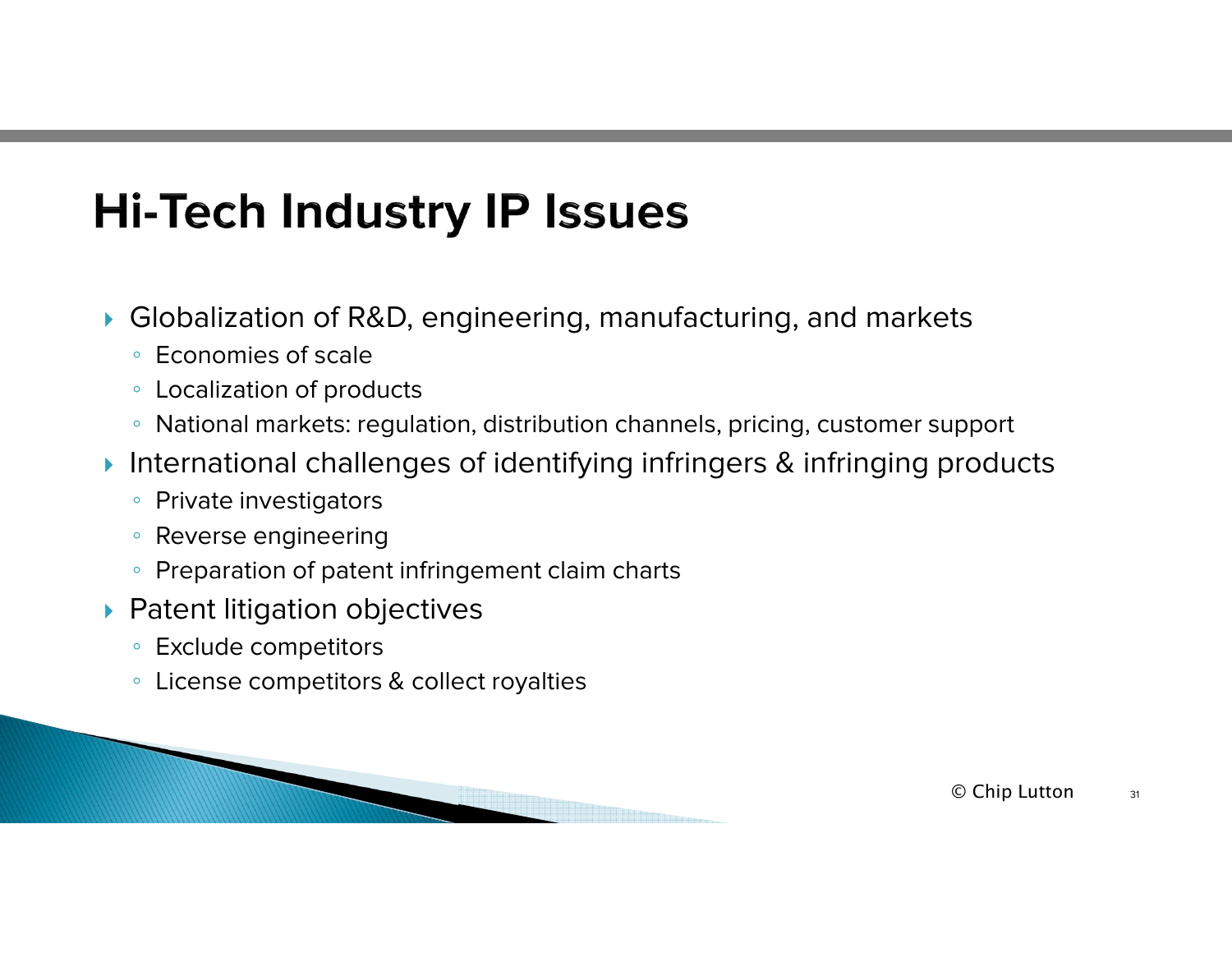## **Hi-Tech Industry IP Issues**

- $\blacktriangleright$  Globalization of R&D, engineering, manufacturing, and markets
	- Economies of scale
	- Localization of products
	- $\,^{\circ}\,$  National markets: regulation, distribution channels, pricing, customer support
- $\blacktriangleright$  International challenges of identifying infringers & infringing products
	- Private investigators
	- Reverse engineering
	- Preparation of patent infringement claim charts
- $\blacktriangleright$  Patent litigation objectives
	- Exclude competitors
	- License competitors & collect royalties

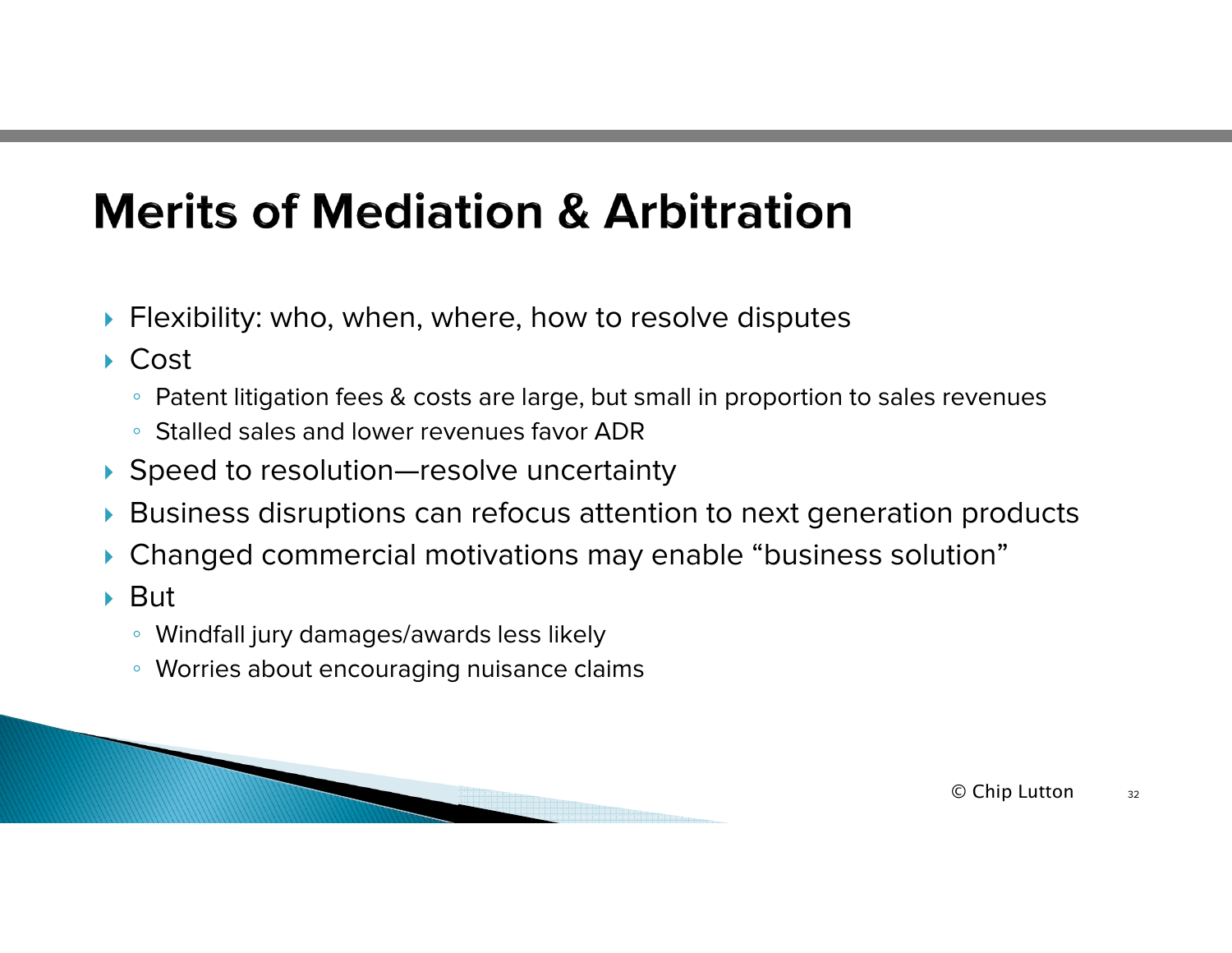## **Merits of Mediation & Arbitration**

- $\blacktriangleright$  Flexibility: who, when, where, how to resolve disputes
- ▶ Cost
	- $\,^{\circ}\,$  Patent litigation fees & costs are large, but small in proportion to sales revenues
	- Stalled sales and lower revenues favor ADR
- Speed to resolution—resolve uncertainty
- N Business disruptions can refocus attention to next generation products
- ▶ Changed commercial motivations may enable "business solution"
- $\blacktriangleright$  But
	- Windfall jury damages/awards less likely
	- Worries about encouraging nuisance claims



 $\mathbb O$  Chip Lutton  $\blacksquare$  $\frac{11}{32}$